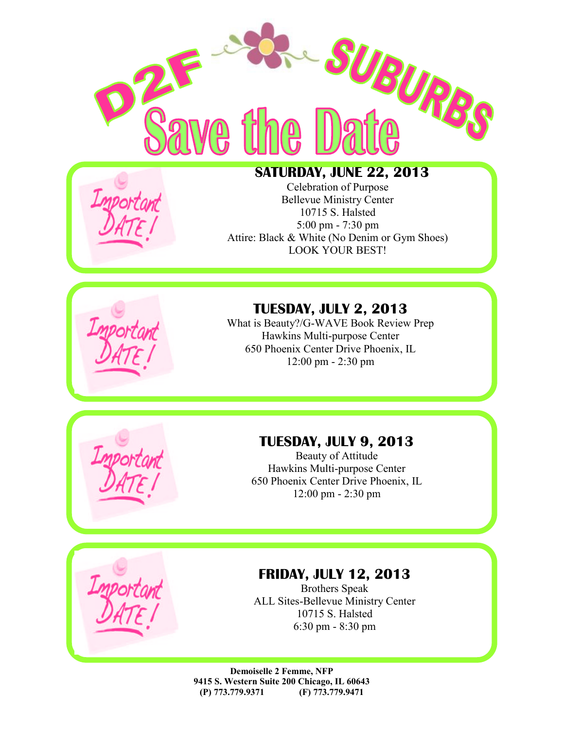

# **SATURDAY, JUNE 22, 2013**

Celebration of Purpose Bellevue Ministry Center 10715 S. Halsted 5:00 pm - 7:30 pm Attire: Black & White (No Denim or Gym Shoes) LOOK YOUR BEST!

# **TUESDAY, JULY 2, 2013**

What is Beauty?/G-WAVE Book Review Prep Hawkins Multi-purpose Center 650 Phoenix Center Drive Phoenix, IL 12:00 pm - 2:30 pm

# **TUESDAY, JULY 9, 2013**

Beauty of Attitude Hawkins Multi-purpose Center 650 Phoenix Center Drive Phoenix, IL 12:00 pm - 2:30 pm

#### **FRIDAY, JULY 12, 2013**

Brothers Speak ALL Sites-Bellevue Ministry Center 10715 S. Halsted 6:30 pm - 8:30 pm

**Demoiselle 2 Femme, NFP 9415 S. Western Suite 200 Chicago, IL 60643 (P) 773.779.9371 (F) 773.779.9471**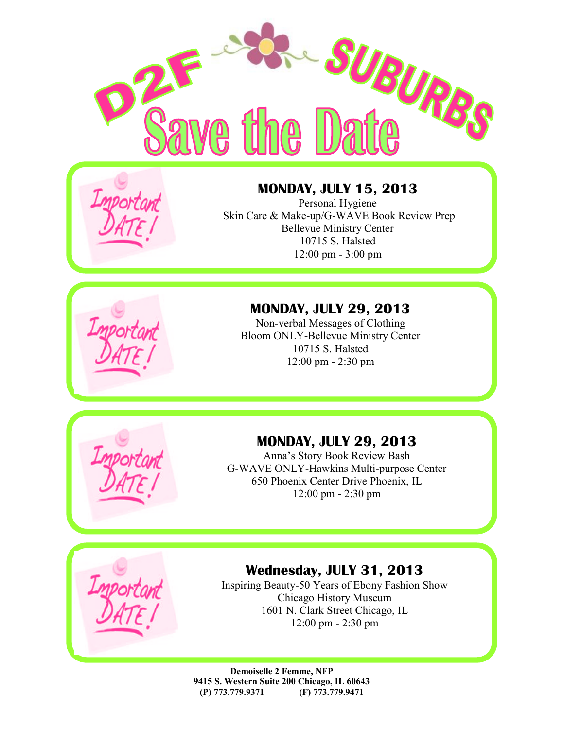



#### **MONDAY, JULY 15, 2013**

Personal Hygiene Skin Care & Make-up/G-WAVE Book Review Prep Bellevue Ministry Center 10715 S. Halsted 12:00 pm - 3:00 pm

## **MONDAY, JULY 29, 2013**

Non-verbal Messages of Clothing Bloom ONLY-Bellevue Ministry Center 10715 S. Halsted 12:00 pm - 2:30 pm



# **MONDAY, JULY 29, 2013**

Anna's Story Book Review Bash G-WAVE ONLY-Hawkins Multi-purpose Center 650 Phoenix Center Drive Phoenix, IL 12:00 pm - 2:30 pm



## **Wednesday, JULY 31, 2013**

Inspiring Beauty-50 Years of Ebony Fashion Show Chicago History Museum 1601 N. Clark Street Chicago, IL 12:00 pm - 2:30 pm

**Demoiselle 2 Femme, NFP 9415 S. Western Suite 200 Chicago, IL 60643 (P) 773.779.9371 (F) 773.779.9471**